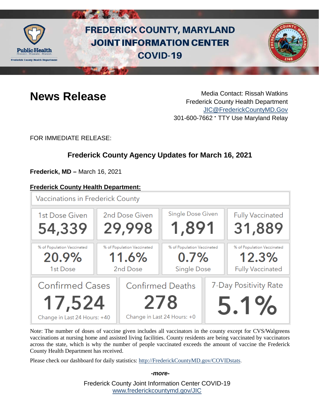

# **FREDERICK COUNTY, MARYLAND JOINT INFORMATION CENTER COVID-19**



**News Release** Media Contact: Rissah Watkins Frederick County Health Department [JIC@FrederickCountyMD.Gov](mailto:JIC@FrederickCountyMD.Gov) 301-600-7662 • TTY Use Maryland Relay

FOR IMMEDIATE RELEASE:

# **Frederick County Agency Updates for March 16, 2021**

**Frederick, MD –** March 16, 2021

### **Frederick County Health Department:**

**Vaccinations in Frederick County** Single Dose Given **Fully Vaccinated** 2nd Dose Given 1st Dose Given 1,891 29,998 31,889 54,339 % of Population Vaccinated % of Population Vaccinated % of Population Vaccinated % of Population Vaccinated 20.9% 11.6%  $0.7%$ 12.3% **Single Dose Fully Vaccinated** 2nd Dose 1st Dose **Confirmed Cases Confirmed Deaths** 7-Day Positivity Rate 17,524 278  $5.1%$ Change in Last 24 Hours: +0 Change in Last 24 Hours: +40

Note: The number of doses of vaccine given includes all vaccinators in the county except for CVS/Walgreens vaccinations at nursing home and assisted living facilities. County residents are being vaccinated by vaccinators across the state, which is why the number of people vaccinated exceeds the amount of vaccine the Frederick County Health Department has received.

Please check our dashboard for daily statistics: [http://FrederickCountyMD.gov/COVIDstats.](http://frederickcountymd.gov/COVIDstats)

Frederick County Joint Information Center COVID-19 [www.frederickcountymd.gov/JIC](https://frederickcountymd.gov/JIC)

#### *-more-*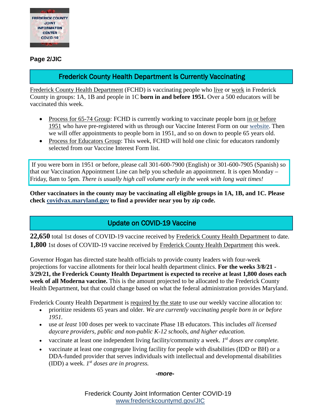

**Page 2/JIC**

# Frederick County Health Department Is Currently Vaccinating

Frederick County Health Department (FCHD) is vaccinating people who live or work in Frederick County in groups: 1A, 1B and people in 1C **born in and before 1951.** Over a 500 educators will be vaccinated this week.

- Process for 65-74 Group: FCHD is currently working to vaccinate people born in or before 1951 who have pre-registered with us through our Vaccine Interest Form on our [website.](https://health.frederickcountymd.gov/629/COVID-19-Vaccine) Then we will offer appointments to people born in 1951, and so on down to people 65 years old.
- Process for Educators Group: This week, FCHD will hold one clinic for educators randomly selected from our Vaccine Interest Form list.

If you were born in 1951 or before, please call 301-600-7900 (English) or 301-600-7905 (Spanish) so that our Vaccination Appointment Line can help you schedule an appointment. It is open Monday – Friday, 8am to 5pm. *There is usually high call volume early in the week with long wait times!*

**Other vaccinators in the county may be vaccinating all eligible groups in 1A, 1B, and 1C. Please check [covidvax.maryland.gov](https://covidvax.maryland.gov/) to find a provider near you by zip code.**

# Update on COVID-19 Vaccine

**22,650** total 1st doses of COVID-19 vaccine received by Frederick County Health Department to date. **1,800** 1st doses of COVID-19 vaccine received by Frederick County Health Department this week.

Governor Hogan has directed state health officials to provide county leaders with four-week projections for vaccine allotments for their local health department clinics. **For the weeks 3/8/21 - 3/29/21, the Frederick County Health Department is expected to receive at least 1,800 doses each week of all Moderna vaccine.** This is the amount projected to be allocated to the Frederick County Health Department, but that could change based on what the federal administration provides Maryland.

Frederick County Health Department is required by the state to use our weekly vaccine allocation to:

- prioritize residents 65 years and older. *We are currently vaccinating people born in or before 1951.*
- use *at least* 100 doses per week to vaccinate Phase 1B educators. This includes *all licensed daycare providers, public and non-public K-12 schools, and higher education.*
- vaccinate at least one independent living facility/community a week. *1st doses are complete.*
- vaccinate at least one congregate living facility for people with disabilities (IDD or BH) or a DDA-funded provider that serves individuals with intellectual and developmental disabilities (IDD) a week. *1st doses are in progress.*

*-more-*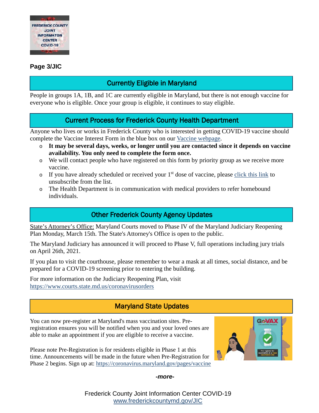

#### **Page 3/JIC**

# Currently Eligible in Maryland

People in groups 1A, 1B, and 1C are currently eligible in Maryland, but there is not enough vaccine for everyone who is eligible. Once your group is eligible, it continues to stay eligible.

# Current Process for Frederick County Health Department

Anyone who lives or works in Frederick County who is interested in getting COVID-19 vaccine should complete the Vaccine Interest Form in the blue box on our [Vaccine webpage.](https://health.frederickcountymd.gov/629/COVID-19-Vaccine)

- o **It may be several days, weeks, or longer until you are contacted since it depends on vaccine availability. You only need to complete the form once.**
- o We will contact people who have registered on this form by priority group as we receive more vaccine.
- $\circ$  If you have already scheduled or received your 1<sup>st</sup> dose of vaccine, please [click this link](https://ww3.frederickcountymd.gov/VaccineInterest/Forms/Withdraw) to unsubscribe from the list.
- o The Health Department is in communication with medical providers to refer homebound individuals.

# Other Frederick County Agency Updates

State's Attorney's Office: Maryland Courts moved to Phase IV of the Maryland Judiciary Reopening Plan Monday, March 15th. The State's Attorney's Office is open to the public.

The Maryland Judiciary has announced it will proceed to Phase V, full operations including jury trials on April 26th, 2021.

If you plan to visit the courthouse, please remember to wear a mask at all times, social distance, and be prepared for a COVID-19 screening prior to entering the building.

For more information on the Judiciary Reopening Plan, visit <https://www.courts.state.md.us/coronavirusorders>

# Maryland State Updates

You can now pre-register at Maryland's mass vaccination sites. Preregistration ensures you will be notified when you and your loved ones are able to make an appointment if you are eligible to receive a vaccine.

Please note Pre-Registration is for residents eligible in Phase 1 at this time. Announcements will be made in the future when Pre-Registration for Phase 2 begins. Sign up at: [https://coronavirus.maryland.gov/pages/vaccine](https://coronavirus.maryland.gov/pages/vaccine?fbclid=IwAR1QPT7HxJp9SzCwuFXKfoZdjwdAvgUkkWrucvXbBHg_15jBlAXG5YKsxYQ)



*-more-*

Frederick County Joint Information Center COVID-19 [www.frederickcountymd.gov/JIC](https://frederickcountymd.gov/JIC)